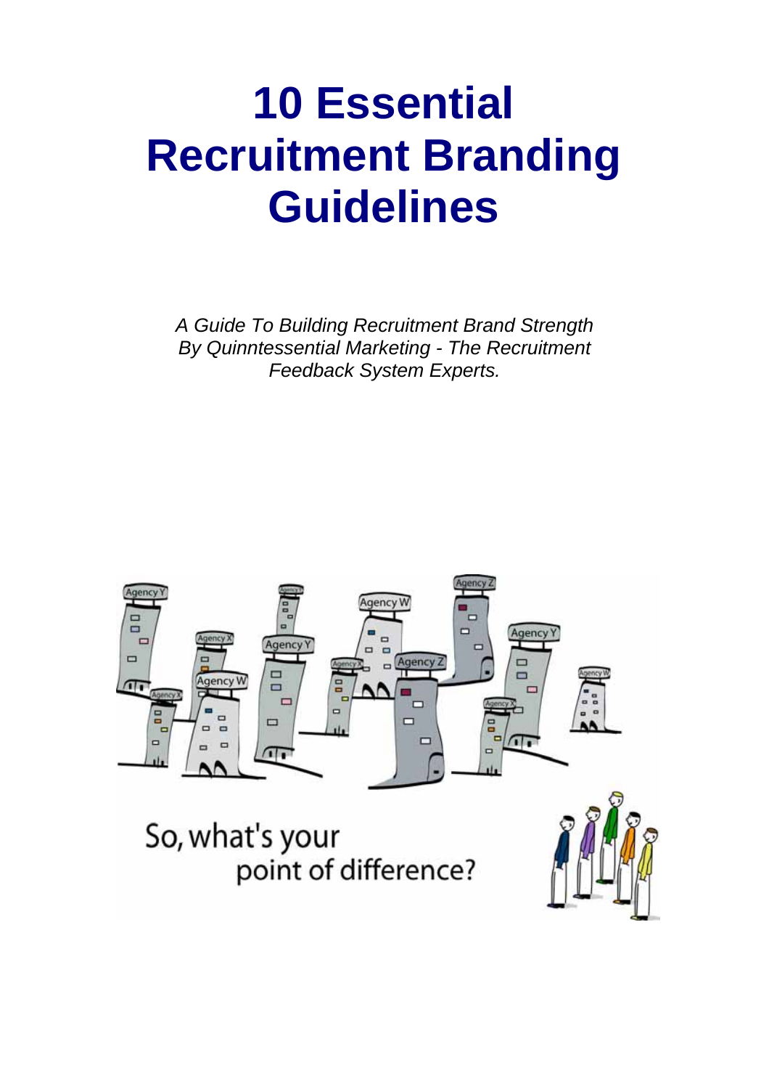# **10 Essential Recruitment Branding Guidelines**

*A Guide To Building Recruitment Brand Strength By Quinntessential Marketing - The Recruitment Feedback System Experts.* 



So, what's your point of difference?

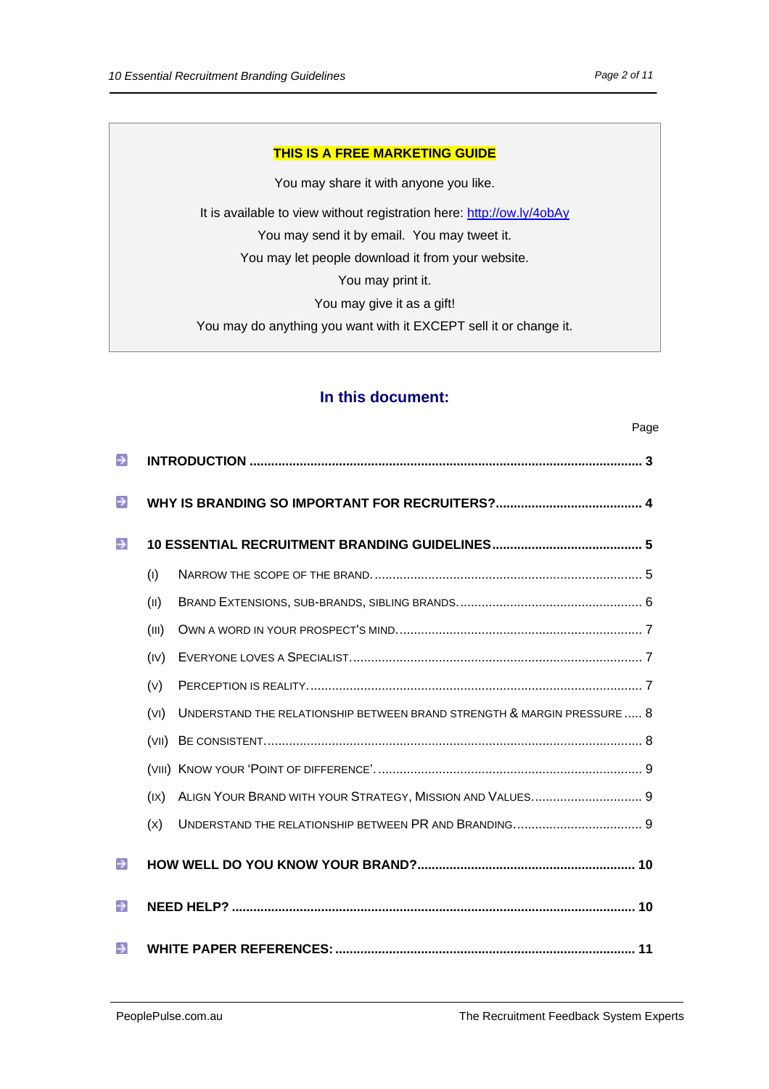#### **THIS IS A FREE MARKETING GUIDE**

You may share it with anyone you like. It is available to view without registration here: http://ow.ly/4obAy You may send it by email. You may tweet it. You may let people download it from your website. You may print it. You may give it as a gift! You may do anything you want with it EXCEPT sell it or change it.

# **In this document:**

| $\rightarrow$ |       |                                                                         |  |
|---------------|-------|-------------------------------------------------------------------------|--|
| $\rightarrow$ |       |                                                                         |  |
| $\rightarrow$ |       |                                                                         |  |
|               | (1)   |                                                                         |  |
|               | (II)  |                                                                         |  |
|               | (III) |                                                                         |  |
|               | (IV)  |                                                                         |  |
|               | (V)   |                                                                         |  |
|               | (VI)  | UNDERSTAND THE RELATIONSHIP BETWEEN BRAND STRENGTH & MARGIN PRESSURE  8 |  |
|               | (VII) |                                                                         |  |
|               |       |                                                                         |  |
|               | (IX)  |                                                                         |  |
|               | (x)   | UNDERSTAND THE RELATIONSHIP BETWEEN PR AND BRANDING 9                   |  |
| $\rightarrow$ |       |                                                                         |  |
| $\rightarrow$ |       |                                                                         |  |
| $\rightarrow$ |       |                                                                         |  |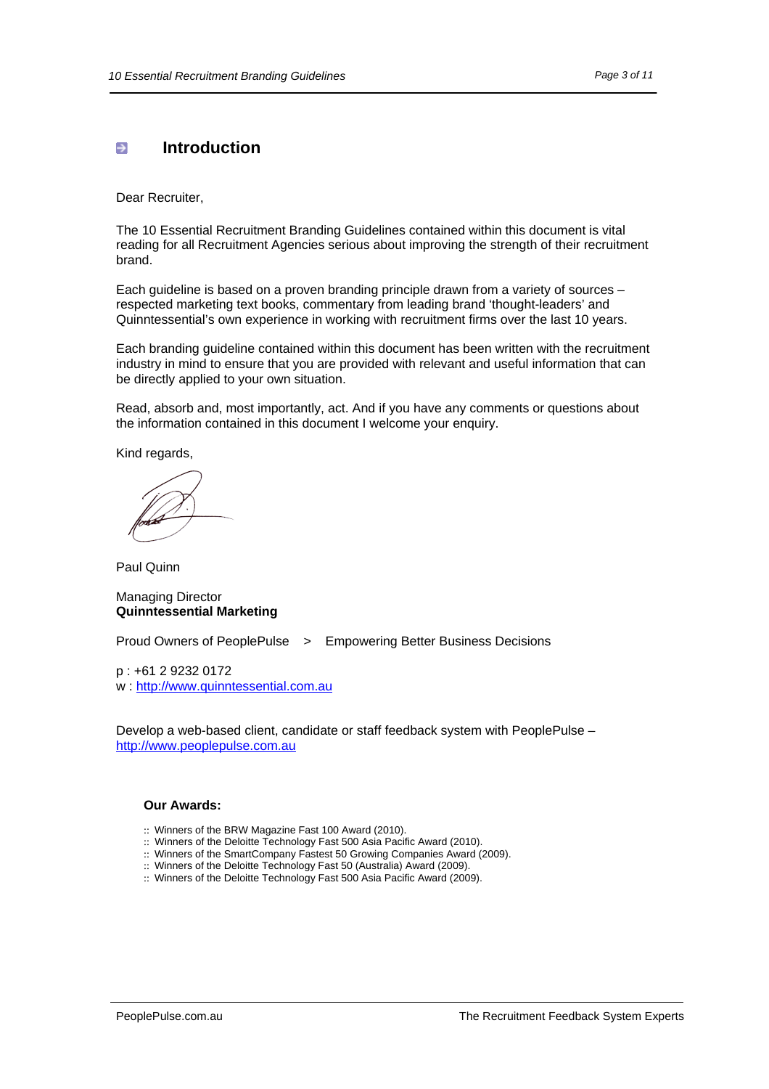# <span id="page-2-0"></span> $\rightarrow$  Introduction

Dear Recruiter,

The 10 Essential Recruitment Branding Guidelines contained within this document is vital reading for all Recruitment Agencies serious about improving the strength of their recruitment brand.

Each guideline is based on a proven branding principle drawn from a variety of sources – respected marketing text books, commentary from leading brand 'thought-leaders' and Quinntessential's own experience in working with recruitment firms over the last 10 years.

Each branding guideline contained within this document has been written with the recruitment industry in mind to ensure that you are provided with relevant and useful information that can be directly applied to your own situation.

Read, absorb and, most importantly, act. And if you have any comments or questions about the information contained in this document I welcome your enquiry.

Kind regards,

Paul Quinn

#### Managing Director **Quinntessential Marketing**

Proud Owners of PeoplePulse > Empowering Better Business Decisions

p : +61 2 9232 0172 w : [http://www.quinntessential.com.au](http://www.quinntessential.com.au/)

Develop a web-based client, candidate or staff feedback system with PeoplePulse – [http://www.peoplepulse.com.au](http://www.peoplepulse.com.au/)

#### **Our Awards:**

- :: Winners of the BRW Magazine Fast 100 Award (2010).
- :: Winners of the Deloitte Technology Fast 500 Asia Pacific Award (2010).
- :: Winners of the SmartCompany Fastest 50 Growing Companies Award (2009).
- :: Winners of the Deloitte Technology Fast 50 (Australia) Award (2009).
- :: Winners of the Deloitte Technology Fast 500 Asia Pacific Award (2009).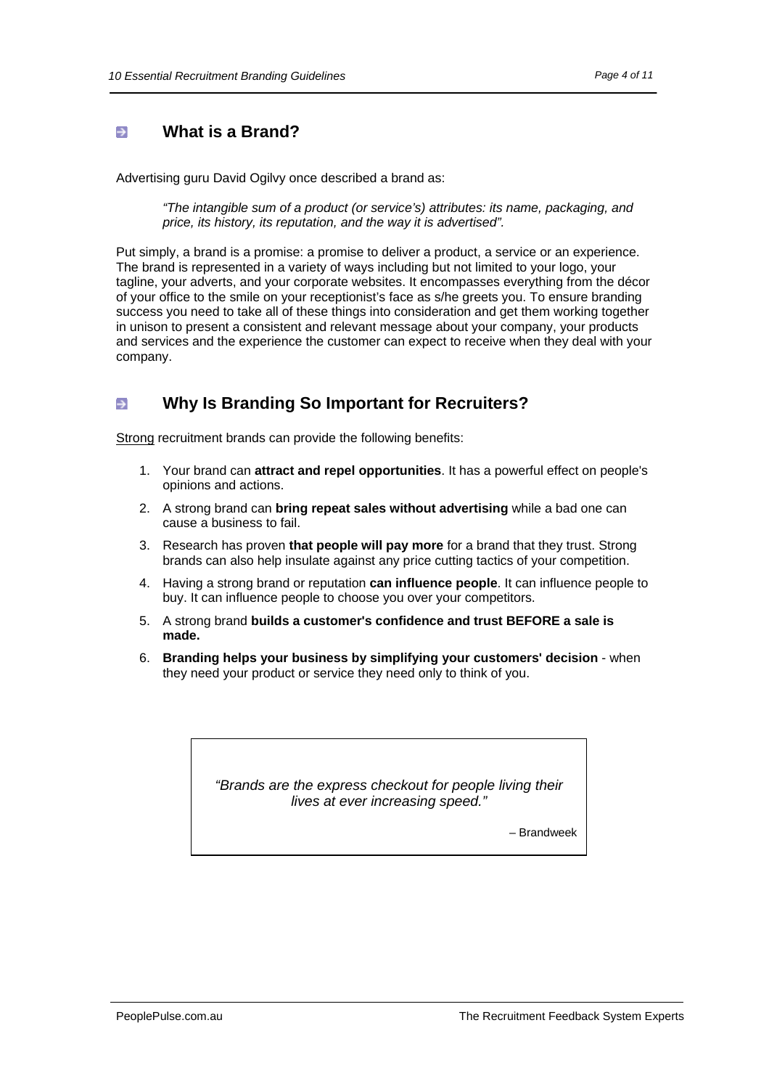#### <span id="page-3-0"></span>**What is a Brand?**  $\rightarrow$

Advertising guru David Ogilvy once described a brand as:

*"The intangible sum of a product (or service's) attributes: its name, packaging, and price, its history, its reputation, and the way it is advertised".*

Put simply, a brand is a promise: a promise to deliver a product, a service or an experience. The brand is represented in a variety of ways including but not limited to your logo, your tagline, your adverts, and your corporate websites. It encompasses everything from the décor of your office to the smile on your receptionist's face as s/he greets you. To ensure branding success you need to take all of these things into consideration and get them working together in unison to present a consistent and relevant message about your company, your products and services and the experience the customer can expect to receive when they deal with your company.

#### **Why Is Branding So Important for Recruiters?**  $\rightarrow$

Strong recruitment brands can provide the following benefits:

- 1. Your brand can **attract and repel opportunities**. It has a powerful effect on people's opinions and actions.
- 2. A strong brand can **bring repeat sales without advertising** while a bad one can cause a business to fail.
- 3. Research has proven **that people will pay more** for a brand that they trust. Strong brands can also help insulate against any price cutting tactics of your competition.
- 4. Having a strong brand or reputation **can influence people**. It can influence people to buy. It can influence people to choose you over your competitors.
- 5. A strong brand **builds a customer's confidence and trust BEFORE a sale is made.**
- 6. **Branding helps your business by simplifying your customers' decision** when they need your product or service they need only to think of you.

*"Brands are the express checkout for people living their lives at ever increasing speed."*

– Brandweek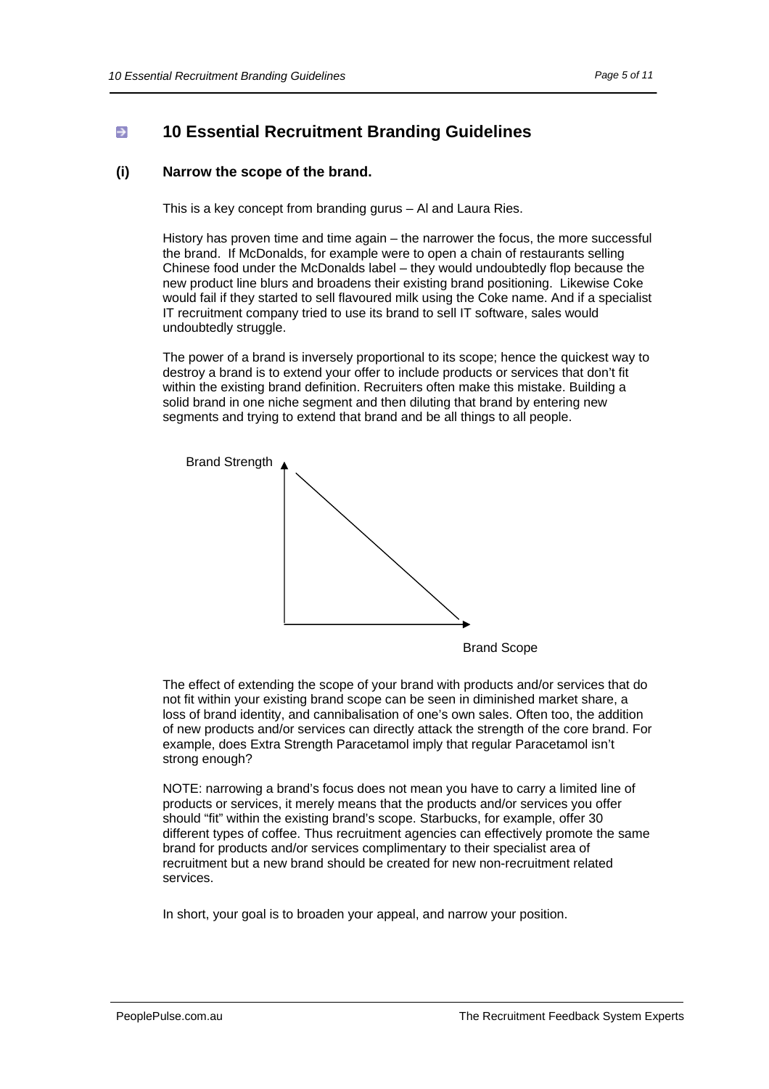# <span id="page-4-0"></span>**10 Essential Recruitment Branding Guidelines**

## **(i) Narrow the scope of the brand.**

This is a key concept from branding gurus – Al and Laura Ries.

History has proven time and time again – the narrower the focus, the more successful the brand. If McDonalds, for example were to open a chain of restaurants selling Chinese food under the McDonalds label – they would undoubtedly flop because the new product line blurs and broadens their existing brand positioning. Likewise Coke would fail if they started to sell flavoured milk using the Coke name. And if a specialist IT recruitment company tried to use its brand to sell IT software, sales would undoubtedly struggle.

The power of a brand is inversely proportional to its scope; hence the quickest way to destroy a brand is to extend your offer to include products or services that don't fit within the existing brand definition. Recruiters often make this mistake. Building a solid brand in one niche segment and then diluting that brand by entering new segments and trying to extend that brand and be all things to all people.



Brand Scope

The effect of extending the scope of your brand with products and/or services that do not fit within your existing brand scope can be seen in diminished market share, a loss of brand identity, and cannibalisation of one's own sales. Often too, the addition of new products and/or services can directly attack the strength of the core brand. For example, does Extra Strength Paracetamol imply that regular Paracetamol isn't strong enough?

NOTE: narrowing a brand's focus does not mean you have to carry a limited line of products or services, it merely means that the products and/or services you offer should "fit" within the existing brand's scope. Starbucks, for example, offer 30 different types of coffee. Thus recruitment agencies can effectively promote the same brand for products and/or services complimentary to their specialist area of recruitment but a new brand should be created for new non-recruitment related services.

In short, your goal is to broaden your appeal, and narrow your position.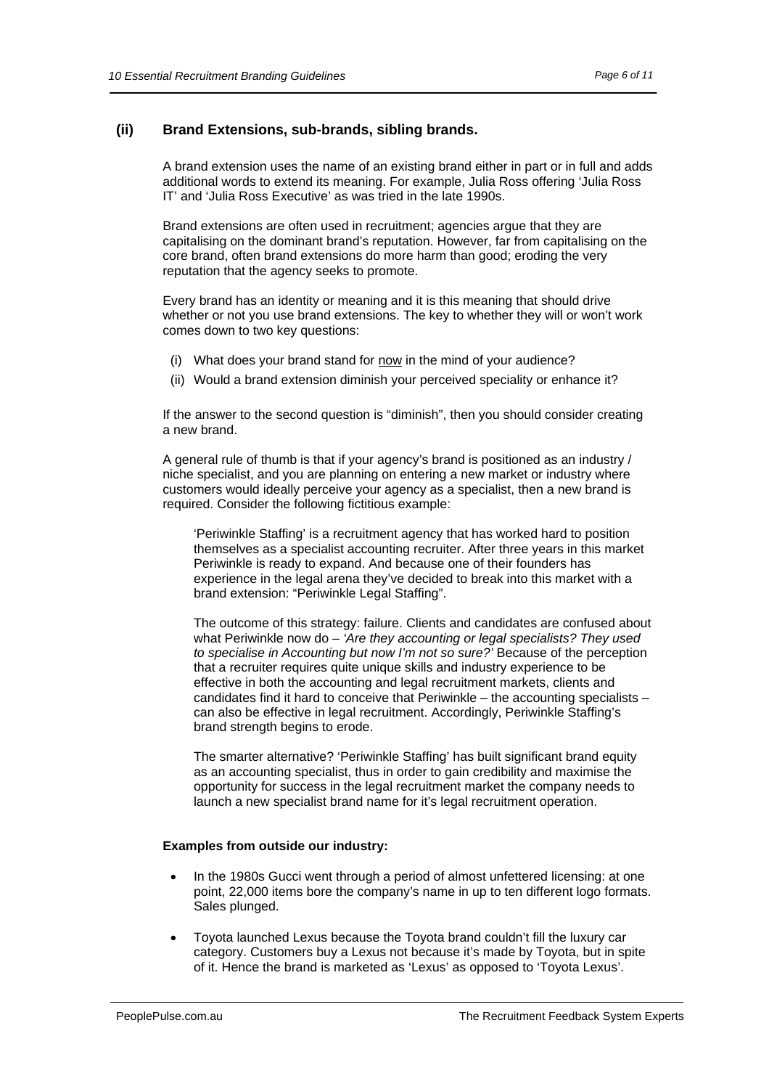## <span id="page-5-0"></span>**(ii) Brand Extensions, sub-brands, sibling brands.**

A brand extension uses the name of an existing brand either in part or in full and adds additional words to extend its meaning. For example, Julia Ross offering 'Julia Ross IT' and 'Julia Ross Executive' as was tried in the late 1990s.

Brand extensions are often used in recruitment; agencies argue that they are capitalising on the dominant brand's reputation. However, far from capitalising on the core brand, often brand extensions do more harm than good; eroding the very reputation that the agency seeks to promote.

Every brand has an identity or meaning and it is this meaning that should drive whether or not you use brand extensions. The key to whether they will or won't work comes down to two key questions:

- (i) What does your brand stand for now in the mind of your audience?
- (ii) Would a brand extension diminish your perceived speciality or enhance it?

If the answer to the second question is "diminish", then you should consider creating a new brand.

A general rule of thumb is that if your agency's brand is positioned as an industry / niche specialist, and you are planning on entering a new market or industry where customers would ideally perceive your agency as a specialist, then a new brand is required. Consider the following fictitious example:

'Periwinkle Staffing' is a recruitment agency that has worked hard to position themselves as a specialist accounting recruiter. After three years in this market Periwinkle is ready to expand. And because one of their founders has experience in the legal arena they've decided to break into this market with a brand extension: "Periwinkle Legal Staffing".

The outcome of this strategy: failure. Clients and candidates are confused about what Periwinkle now do – *'Are they accounting or legal specialists? They used to specialise in Accounting but now I'm not so sure?'* Because of the perception that a recruiter requires quite unique skills and industry experience to be effective in both the accounting and legal recruitment markets, clients and candidates find it hard to conceive that Periwinkle – the accounting specialists – can also be effective in legal recruitment. Accordingly, Periwinkle Staffing's brand strength begins to erode.

The smarter alternative? 'Periwinkle Staffing' has built significant brand equity as an accounting specialist, thus in order to gain credibility and maximise the opportunity for success in the legal recruitment market the company needs to launch a new specialist brand name for it's legal recruitment operation.

#### **Examples from outside our industry:**

- In the 1980s Gucci went through a period of almost unfettered licensing: at one point, 22,000 items bore the company's name in up to ten different logo formats. Sales plunged.
- Toyota launched Lexus because the Toyota brand couldn't fill the luxury car category. Customers buy a Lexus not because it's made by Toyota, but in spite of it. Hence the brand is marketed as 'Lexus' as opposed to 'Toyota Lexus'.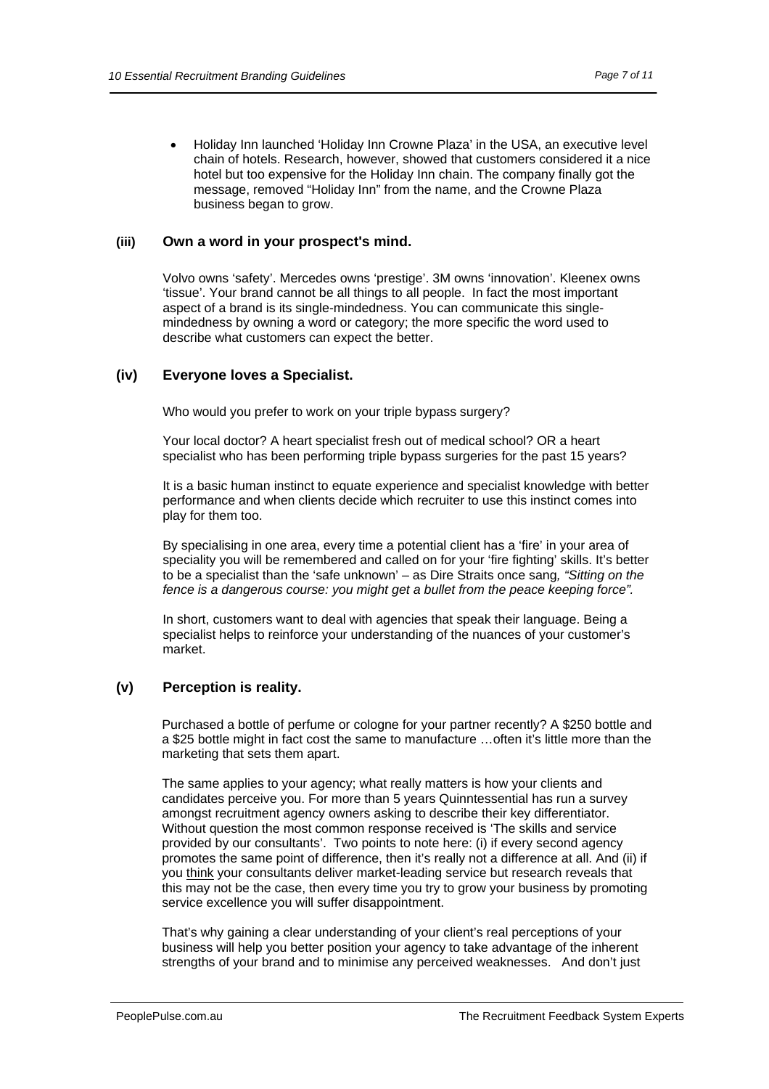<span id="page-6-0"></span>• Holiday Inn launched 'Holiday Inn Crowne Plaza' in the USA, an executive level chain of hotels. Research, however, showed that customers considered it a nice hotel but too expensive for the Holiday Inn chain. The company finally got the message, removed "Holiday Inn" from the name, and the Crowne Plaza business began to grow.

## **(iii) Own a word in your prospect's mind.**

Volvo owns 'safety'. Mercedes owns 'prestige'. 3M owns 'innovation'. Kleenex owns 'tissue'. Your brand cannot be all things to all people. In fact the most important aspect of a brand is its single-mindedness. You can communicate this singlemindedness by owning a word or category; the more specific the word used to describe what customers can expect the better.

## **(iv) Everyone loves a Specialist.**

Who would you prefer to work on your triple bypass surgery?

Your local doctor? A heart specialist fresh out of medical school? OR a heart specialist who has been performing triple bypass surgeries for the past 15 years?

It is a basic human instinct to equate experience and specialist knowledge with better performance and when clients decide which recruiter to use this instinct comes into play for them too.

By specialising in one area, every time a potential client has a 'fire' in your area of speciality you will be remembered and called on for your 'fire fighting' skills. It's better to be a specialist than the 'safe unknown' – as Dire Straits once sang*, "Sitting on the fence is a dangerous course: you might get a bullet from the peace keeping force".*

In short, customers want to deal with agencies that speak their language. Being a specialist helps to reinforce your understanding of the nuances of your customer's market.

#### **(v) Perception is reality.**

Purchased a bottle of perfume or cologne for your partner recently? A \$250 bottle and a \$25 bottle might in fact cost the same to manufacture …often it's little more than the marketing that sets them apart.

The same applies to your agency; what really matters is how your clients and candidates perceive you. For more than 5 years Quinntessential has run a survey amongst recruitment agency owners asking to describe their key differentiator. Without question the most common response received is 'The skills and service provided by our consultants'. Two points to note here: (i) if every second agency promotes the same point of difference, then it's really not a difference at all. And (ii) if you think your consultants deliver market-leading service but research reveals that this may not be the case, then every time you try to grow your business by promoting service excellence you will suffer disappointment.

That's why gaining a clear understanding of your client's real perceptions of your business will help you better position your agency to take advantage of the inherent strengths of your brand and to minimise any perceived weaknesses. And don't just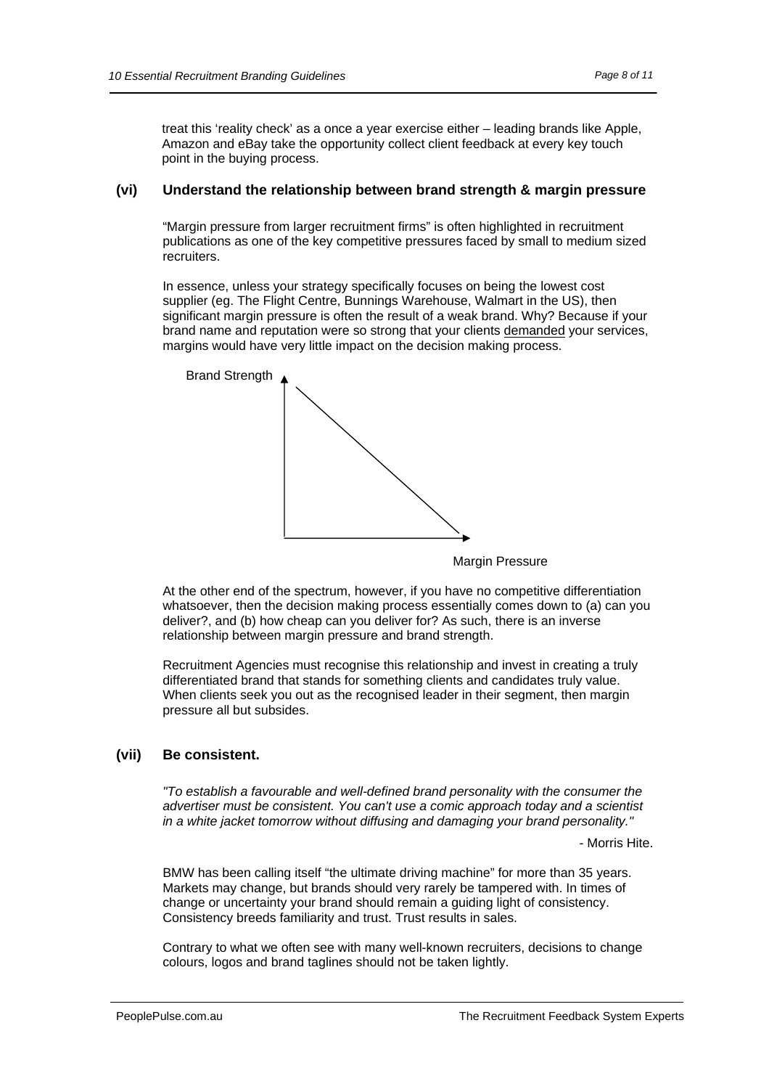<span id="page-7-0"></span>treat this 'reality check' as a once a year exercise either – leading brands like Apple, Amazon and eBay take the opportunity collect client feedback at every key touch point in the buying process.

#### **(vi) Understand the relationship between brand strength & margin pressure**

"Margin pressure from larger recruitment firms" is often highlighted in recruitment publications as one of the key competitive pressures faced by small to medium sized recruiters.

In essence, unless your strategy specifically focuses on being the lowest cost supplier (eg. The Flight Centre, Bunnings Warehouse, Walmart in the US), then significant margin pressure is often the result of a weak brand. Why? Because if your brand name and reputation were so strong that your clients demanded your services, margins would have very little impact on the decision making process.



**Margin Pressure** 

At the other end of the spectrum, however, if you have no competitive differentiation whatsoever, then the decision making process essentially comes down to (a) can you deliver?, and (b) how cheap can you deliver for? As such, there is an inverse relationship between margin pressure and brand strength.

Recruitment Agencies must recognise this relationship and invest in creating a truly differentiated brand that stands for something clients and candidates truly value. When clients seek you out as the recognised leader in their segment, then margin pressure all but subsides.

#### **(vii) Be consistent.**

*"To establish a favourable and well-defined brand personality with the consumer the advertiser must be consistent. You can't use a comic approach today and a scientist in a white jacket tomorrow without diffusing and damaging your brand personality."* 

- Morris Hite.

BMW has been calling itself "the ultimate driving machine" for more than 35 years. Markets may change, but brands should very rarely be tampered with. In times of change or uncertainty your brand should remain a guiding light of consistency. Consistency breeds familiarity and trust. Trust results in sales.

Contrary to what we often see with many well-known recruiters, decisions to change colours, logos and brand taglines should not be taken lightly.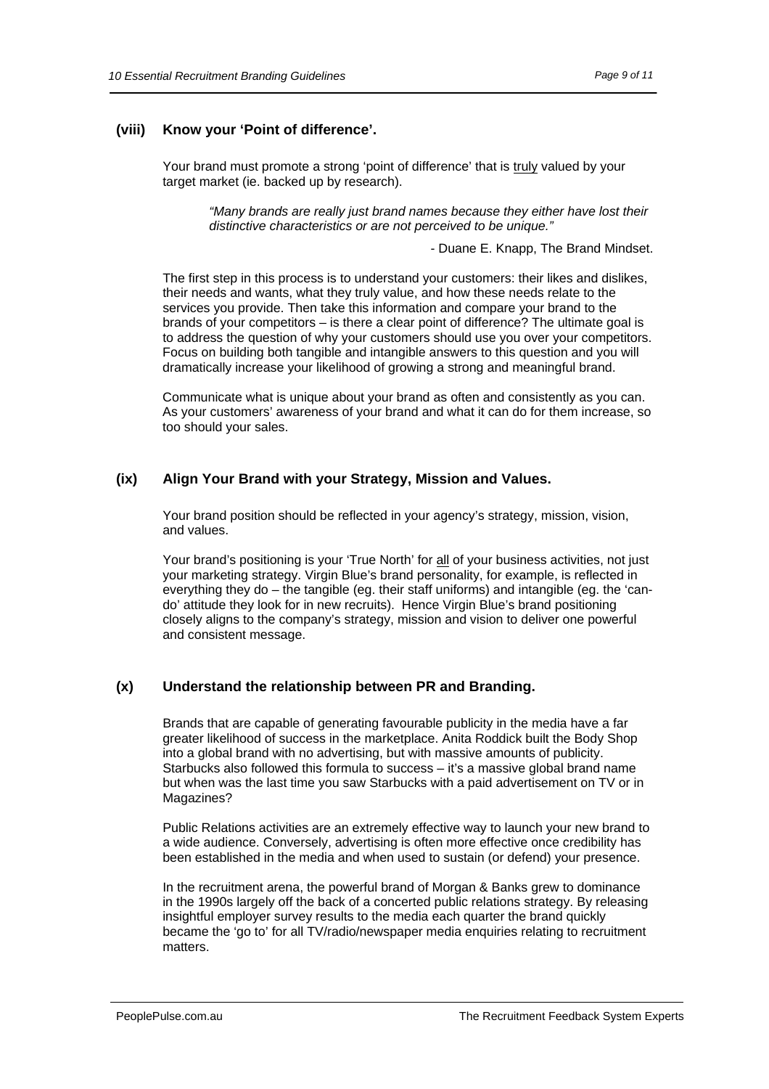## <span id="page-8-0"></span>**(viii) Know your 'Point of difference'.**

Your brand must promote a strong 'point of difference' that is truly valued by your target market (ie. backed up by research).

> *"Many brands are really just brand names because they either have lost their distinctive characteristics or are not perceived to be unique."*

> > - Duane E. Knapp, The Brand Mindset.

The first step in this process is to understand your customers: their likes and dislikes, their needs and wants, what they truly value, and how these needs relate to the services you provide. Then take this information and compare your brand to the brands of your competitors – is there a clear point of difference? The ultimate goal is to address the question of why your customers should use you over your competitors. Focus on building both tangible and intangible answers to this question and you will dramatically increase your likelihood of growing a strong and meaningful brand.

Communicate what is unique about your brand as often and consistently as you can. As your customers' awareness of your brand and what it can do for them increase, so too should your sales.

#### **(ix) Align Your Brand with your Strategy, Mission and Values.**

Your brand position should be reflected in your agency's strategy, mission, vision, and values.

Your brand's positioning is your 'True North' for all of your business activities, not just your marketing strategy. Virgin Blue's brand personality, for example, is reflected in everything they do – the tangible (eg. their staff uniforms) and intangible (eg. the 'cando' attitude they look for in new recruits). Hence Virgin Blue's brand positioning closely aligns to the company's strategy, mission and vision to deliver one powerful and consistent message.

## **(x) Understand the relationship between PR and Branding.**

Brands that are capable of generating favourable publicity in the media have a far greater likelihood of success in the marketplace. Anita Roddick built the Body Shop into a global brand with no advertising, but with massive amounts of publicity. Starbucks also followed this formula to success – it's a massive global brand name but when was the last time you saw Starbucks with a paid advertisement on TV or in Magazines?

Public Relations activities are an extremely effective way to launch your new brand to a wide audience. Conversely, advertising is often more effective once credibility has been established in the media and when used to sustain (or defend) your presence.

In the recruitment arena, the powerful brand of Morgan & Banks grew to dominance in the 1990s largely off the back of a concerted public relations strategy. By releasing insightful employer survey results to the media each quarter the brand quickly became the 'go to' for all TV/radio/newspaper media enquiries relating to recruitment matters.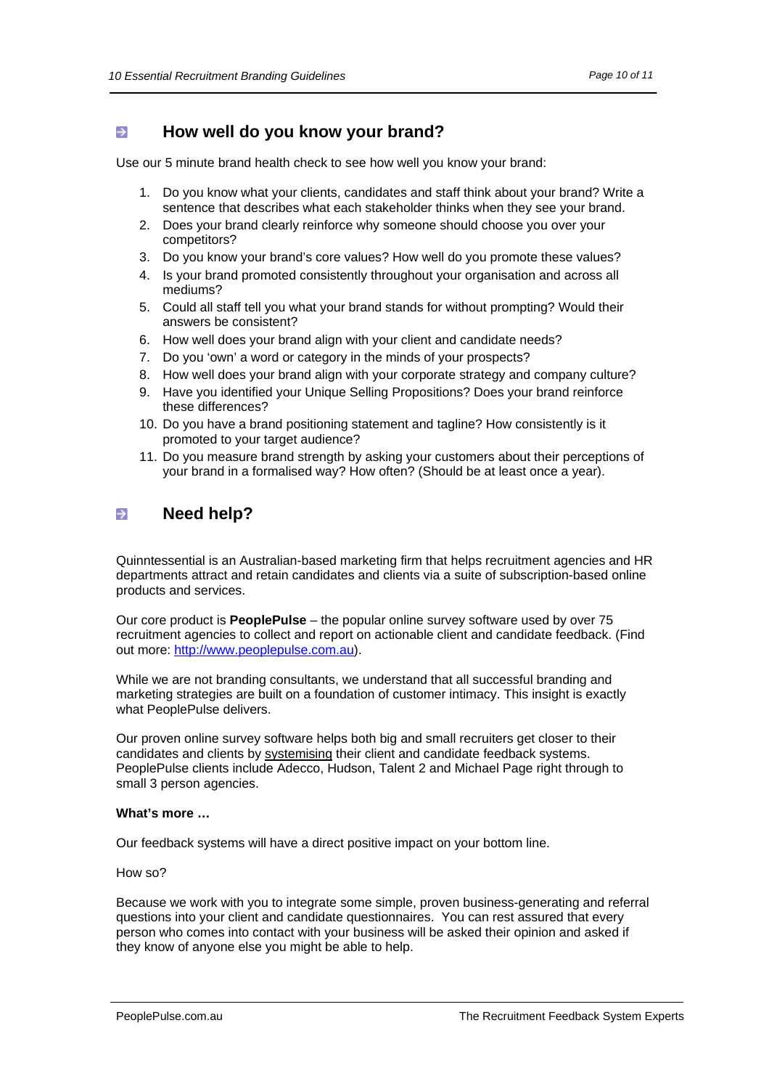#### <span id="page-9-0"></span> $\rightarrow$ **How well do you know your brand?**

Use our 5 minute brand health check to see how well you know your brand:

- 1. Do you know what your clients, candidates and staff think about your brand? Write a sentence that describes what each stakeholder thinks when they see your brand.
- 2. Does your brand clearly reinforce why someone should choose you over your competitors?
- 3. Do you know your brand's core values? How well do you promote these values?
- 4. Is your brand promoted consistently throughout your organisation and across all mediums?
- 5. Could all staff tell you what your brand stands for without prompting? Would their answers be consistent?
- 6. How well does your brand align with your client and candidate needs?
- 7. Do you 'own' a word or category in the minds of your prospects?
- 8. How well does your brand align with your corporate strategy and company culture?
- 9. Have you identified your Unique Selling Propositions? Does your brand reinforce these differences?
- 10. Do you have a brand positioning statement and tagline? How consistently is it promoted to your target audience?
- 11. Do you measure brand strength by asking your customers about their perceptions of your brand in a formalised way? How often? (Should be at least once a year).

#### **Need help?**  $\rightarrow$

Quinntessential is an Australian-based marketing firm that helps recruitment agencies and HR departments attract and retain candidates and clients via a suite of subscription-based online products and services.

Our core product is **PeoplePulse** – the popular online survey software used by over 75 recruitment agencies to collect and report on actionable client and candidate feedback. (Find out more: [http://www.peoplepulse.com.au\)](http://www.peoplepulse.com.au/).

While we are not branding consultants, we understand that all successful branding and marketing strategies are built on a foundation of customer intimacy. This insight is exactly what PeoplePulse delivers.

Our proven online survey software helps both big and small recruiters get closer to their candidates and clients by systemising their client and candidate feedback systems. PeoplePulse clients include Adecco, Hudson, Talent 2 and Michael Page right through to small 3 person agencies.

#### **What's more …**

Our feedback systems will have a direct positive impact on your bottom line.

How so?

Because we work with you to integrate some simple, proven business-generating and referral questions into your client and candidate questionnaires. You can rest assured that every person who comes into contact with your business will be asked their opinion and asked if they know of anyone else you might be able to help.